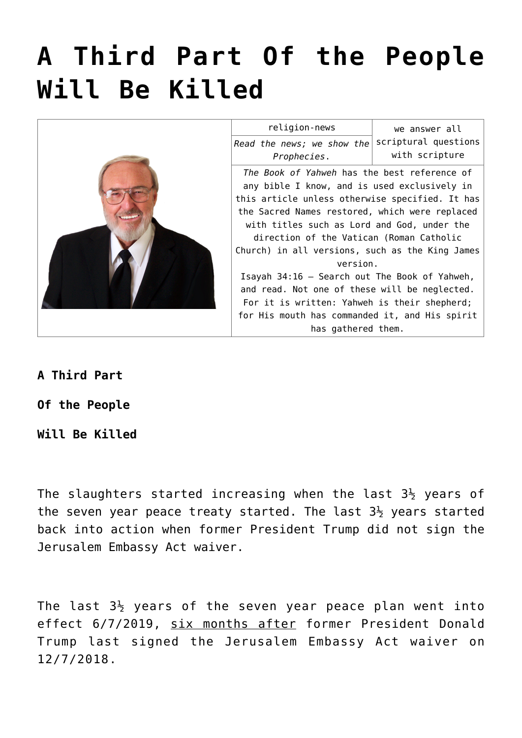# **[A Third Part Of the People](https://yahwehsbranch.com/a-third-part-of-the-people-will-be-killed/) [Will Be Killed](https://yahwehsbranch.com/a-third-part-of-the-people-will-be-killed/)**



| religion-news                                   | we answer all        |
|-------------------------------------------------|----------------------|
| Read the news; we show the                      | scriptural questions |
| Prophecies.                                     | with scripture       |
| The Book of Yahweh has the best reference of    |                      |
| any bible I know, and is used exclusively in    |                      |
| this article unless otherwise specified. It has |                      |
| the Sacred Names restored, which were replaced  |                      |
| with titles such as Lord and God, under the     |                      |
| direction of the Vatican (Roman Catholic        |                      |
| Church) in all versions, such as the King James |                      |
| version.                                        |                      |
| Isayah 34:16 - Search out The Book of Yahweh,   |                      |
| and read. Not one of these will be neglected.   |                      |
| For it is written: Yahweh is their shepherd;    |                      |
| for His mouth has commanded it, and His spirit  |                      |
| has gathered them.                              |                      |

# **A Third Part**

# **Of the People**

# **Will Be Killed**

The slaughters started increasing when the last  $3\frac{1}{2}$  years of the seven year peace treaty started. The last  $3\frac{1}{2}$  years started back into action when former President Trump did not sign the Jerusalem Embassy Act waiver.

The last  $3\frac{1}{2}$  years of the seven year peace plan went into effect 6/7/2019, six months after former President Donald Trump last signed the Jerusalem Embassy Act waiver on 12/7/2018.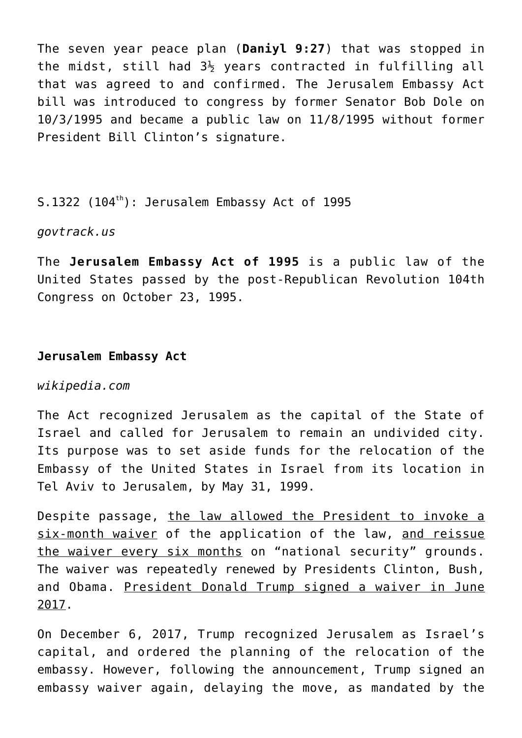The seven year peace plan (**Daniyl 9:27**) that was stopped in the midst, still had  $3\frac{1}{2}$  years contracted in fulfilling all that was agreed to and confirmed. The Jerusalem Embassy Act bill was introduced to congress by former Senator Bob Dole on 10/3/1995 and became a public law on 11/8/1995 without former President Bill Clinton's signature.

S.1322 (104<sup>th</sup>): Jerusalem Embassy Act of 1995

*govtrack.us*

The **Jerusalem Embassy Act of 1995** is a public law of the United States passed by the post-Republican Revolution 104th Congress on October 23, 1995.

# **Jerusalem Embassy Act**

## *wikipedia.com*

The Act recognized Jerusalem as the capital of the State of Israel and called for Jerusalem to remain an undivided city. Its purpose was to set aside funds for the relocation of the Embassy of the United States in Israel from its location in Tel Aviv to Jerusalem, by May 31, 1999.

Despite passage, the law allowed the President to invoke a six-month waiver of the application of the law, and reissue the waiver every six months on "national security" grounds. The waiver was repeatedly renewed by Presidents Clinton, Bush, and Obama. President Donald Trump signed a waiver in June 2017.

On December 6, 2017, Trump recognized Jerusalem as Israel's capital, and ordered the planning of the relocation of the embassy. However, following the announcement, Trump signed an embassy waiver again, delaying the move, as mandated by the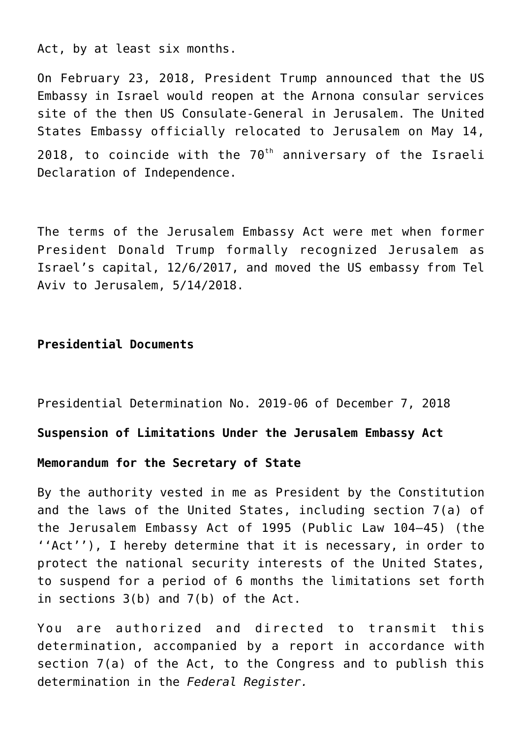Act, by at least six months.

On February 23, 2018, President Trump announced that the US Embassy in Israel would reopen at the Arnona consular services site of the then US Consulate-General in Jerusalem. The United States Embassy officially relocated to Jerusalem on May 14, 2018, to coincide with the  $70<sup>th</sup>$  anniversary of the Israeli Declaration of Independence.

The terms of the Jerusalem Embassy Act were met when former President Donald Trump formally recognized Jerusalem as Israel's capital, 12/6/2017, and moved the US embassy from Tel Aviv to Jerusalem, 5/14/2018.

# **Presidential Documents**

Presidential Determination No. 2019-06 of December 7, 2018

**Suspension of Limitations Under the Jerusalem Embassy Act**

#### **Memorandum for the Secretary of State**

By the authority vested in me as President by the Constitution and the laws of the United States, including section 7(a) of the Jerusalem Embassy Act of 1995 (Public Law 104–45) (the ''Act''), I hereby determine that it is necessary, in order to protect the national security interests of the United States, to suspend for a period of 6 months the limitations set forth in sections 3(b) and 7(b) of the Act.

You are authorized and directed to transmit this determination, accompanied by a report in accordance with section 7(a) of the Act, to the Congress and to publish this determination in the *Federal Register.*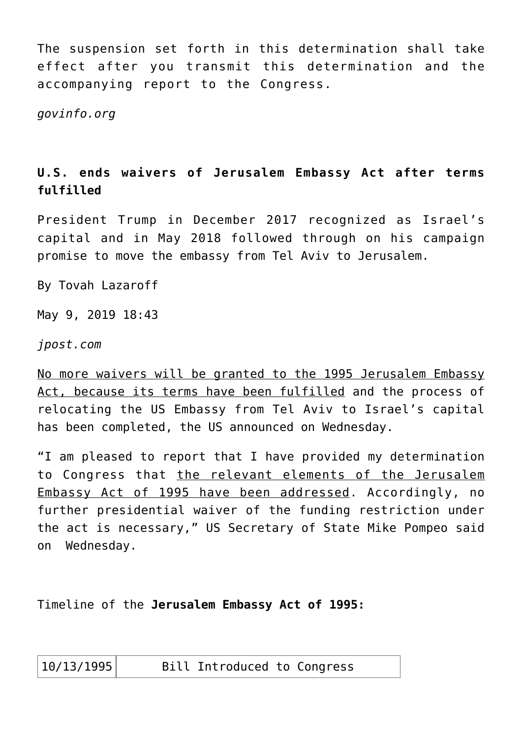The suspension set forth in this determination shall take effect after you transmit this determination and the accompanying report to the Congress.

*govinfo.org*

# **U.S. ends waivers of Jerusalem Embassy Act after terms fulfilled**

President Trump in December 2017 recognized as Israel's capital and in May 2018 followed through on his campaign promise to move the embassy from Tel Aviv to Jerusalem.

By Tovah Lazaroff

May 9, 2019 18:43

*jpost.com*

No more waivers will be granted to the 1995 Jerusalem Embassy Act, because its terms have been fulfilled and the process of relocating the US Embassy from Tel Aviv to Israel's capital has been completed, the US announced on Wednesday.

"I am pleased to report that I have provided my determination to Congress that the relevant elements of the Jerusalem Embassy Act of 1995 have been addressed. Accordingly, no further presidential waiver of the funding restriction under the act is necessary," US Secretary of State Mike Pompeo said on Wednesday.

Timeline of the **Jerusalem Embassy Act of 1995:**

10/13/1995 Bill Introduced to Congress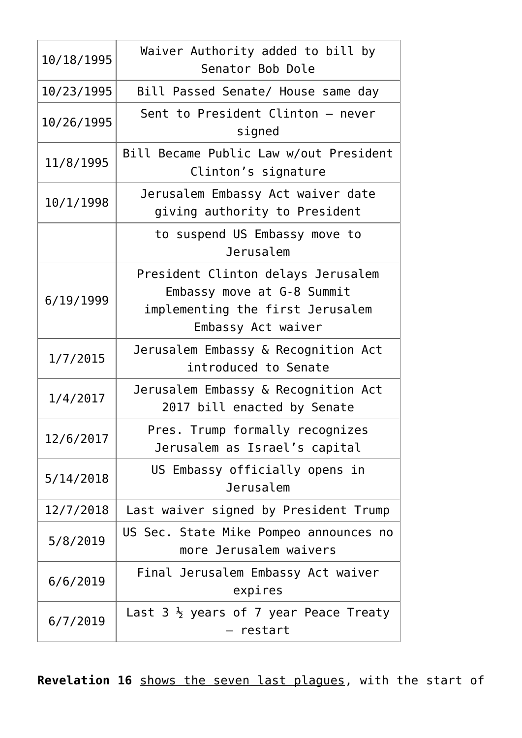| 10/18/1995 | Waiver Authority added to bill by<br>Senator Bob Dole                                                                      |
|------------|----------------------------------------------------------------------------------------------------------------------------|
| 10/23/1995 | Bill Passed Senate/ House same day                                                                                         |
| 10/26/1995 | Sent to President Clinton - never<br>signed                                                                                |
| 11/8/1995  | Bill Became Public Law w/out President<br>Clinton's signature                                                              |
| 10/1/1998  | Jerusalem Embassy Act waiver date<br>giving authority to President                                                         |
|            | to suspend US Embassy move to<br>Jerusalem                                                                                 |
| 6/19/1999  | President Clinton delays Jerusalem<br>Embassy move at G-8 Summit<br>implementing the first Jerusalem<br>Embassy Act waiver |
| 1/7/2015   | Jerusalem Embassy & Recognition Act<br>introduced to Senate                                                                |
| 1/4/2017   | Jerusalem Embassy & Recognition Act<br>2017 bill enacted by Senate                                                         |
| 12/6/2017  | Pres. Trump formally recognizes<br>Jerusalem as Israel's capital                                                           |
| 5/14/2018  | US Embassy officially opens in<br>Jerusalem                                                                                |
| 12/7/2018  | Last waiver signed by President Trump                                                                                      |
| 5/8/2019   | US Sec. State Mike Pompeo announces no<br>more Jerusalem waivers                                                           |
| 6/6/2019   | Final Jerusalem Embassy Act waiver<br>expires                                                                              |
| 6/7/2019   | Last $3\frac{1}{2}$ years of 7 year Peace Treaty                                                                           |

Revelation 16 shows the seven last plagues, with the start of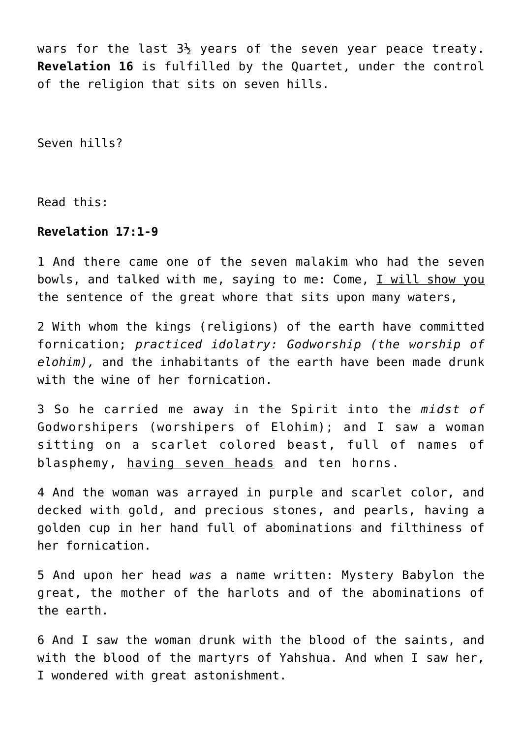wars for the last  $3\frac{1}{2}$  years of the seven year peace treaty. **Revelation 16** is fulfilled by the Quartet, under the control of the religion that sits on seven hills.

Seven hills?

Read this:

# **Revelation 17:1-9**

1 And there came one of the seven malakim who had the seven bowls, and talked with me, saying to me: Come, I will show you the sentence of the great whore that sits upon many waters,

2 With whom the kings (religions) of the earth have committed fornication; *practiced idolatry: Godworship (the worship of elohim),* and the inhabitants of the earth have been made drunk with the wine of her fornication.

3 So he carried me away in the Spirit into the *midst of* Godworshipers (worshipers of Elohim); and I saw a woman sitting on a scarlet colored beast, full of names of blasphemy, having seven heads and ten horns.

4 And the woman was arrayed in purple and scarlet color, and decked with gold, and precious stones, and pearls, having a golden cup in her hand full of abominations and filthiness of her fornication.

5 And upon her head *was* a name written: Mystery Babylon the great, the mother of the harlots and of the abominations of the earth.

6 And I saw the woman drunk with the blood of the saints, and with the blood of the martyrs of Yahshua. And when I saw her, I wondered with great astonishment.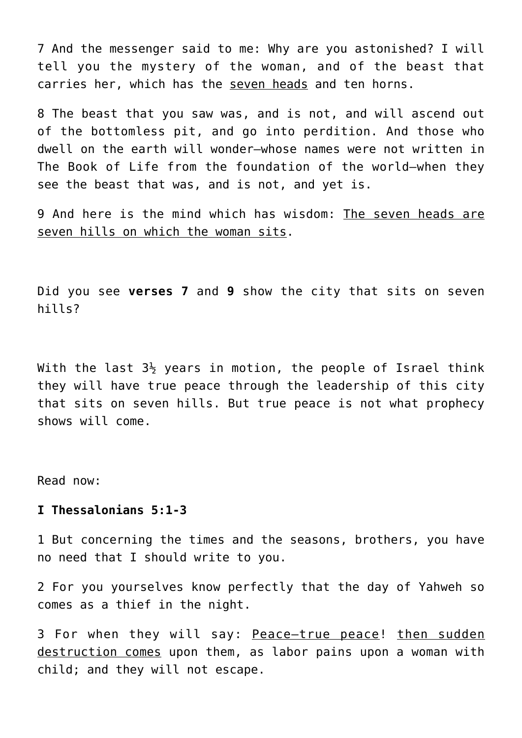7 And the messenger said to me: Why are you astonished? I will tell you the mystery of the woman, and of the beast that carries her, which has the seven heads and ten horns.

8 The beast that you saw was, and is not, and will ascend out of the bottomless pit, and go into perdition. And those who dwell on the earth will wonder—whose names were not written in The Book of Life from the foundation of the world—when they see the beast that was, and is not, and yet is.

9 And here is the mind which has wisdom: The seven heads are seven hills on which the woman sits.

Did you see **verses 7** and **9** show the city that sits on seven hills?

With the last  $3\frac{1}{2}$  years in motion, the people of Israel think they will have true peace through the leadership of this city that sits on seven hills. But true peace is not what prophecy shows will come.

Read now:

# **I Thessalonians 5:1-3**

1 But concerning the times and the seasons, brothers, you have no need that I should write to you.

2 For you yourselves know perfectly that the day of Yahweh so comes as a thief in the night.

3 For when they will say: Peace—true peace! then sudden destruction comes upon them, as labor pains upon a woman with child; and they will not escape.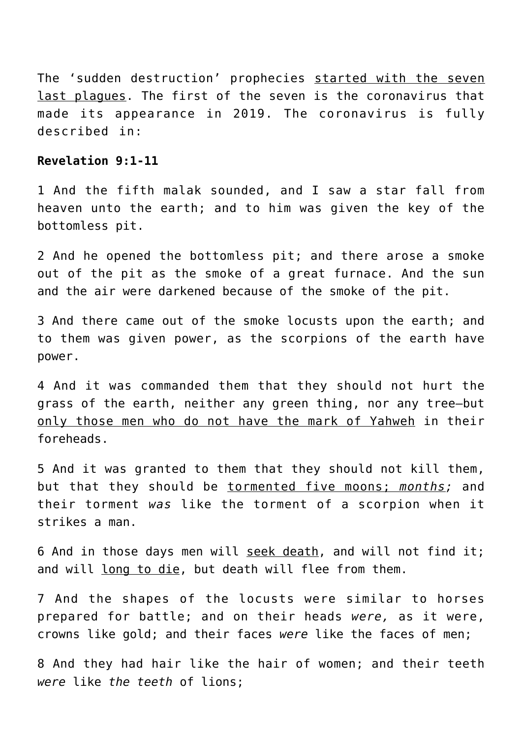The 'sudden destruction' prophecies started with the seven last plagues. The first of the seven is the coronavirus that made its appearance in 2019. The coronavirus is fully described in:

# **Revelation 9:1-11**

1 And the fifth malak sounded, and I saw a star fall from heaven unto the earth; and to him was given the key of the bottomless pit.

2 And he opened the bottomless pit; and there arose a smoke out of the pit as the smoke of a great furnace. And the sun and the air were darkened because of the smoke of the pit.

3 And there came out of the smoke locusts upon the earth; and to them was given power, as the scorpions of the earth have power.

4 And it was commanded them that they should not hurt the grass of the earth, neither any green thing, nor any tree—but only those men who do not have the mark of Yahweh in their foreheads.

5 And it was granted to them that they should not kill them, but that they should be tormented five moons; *months;* and their torment *was* like the torment of a scorpion when it strikes a man.

6 And in those days men will seek death, and will not find it; and will long to die, but death will flee from them.

7 And the shapes of the locusts were similar to horses prepared for battle; and on their heads *were,* as it were, crowns like gold; and their faces *were* like the faces of men;

8 And they had hair like the hair of women; and their teeth *were* like *the teeth* of lions;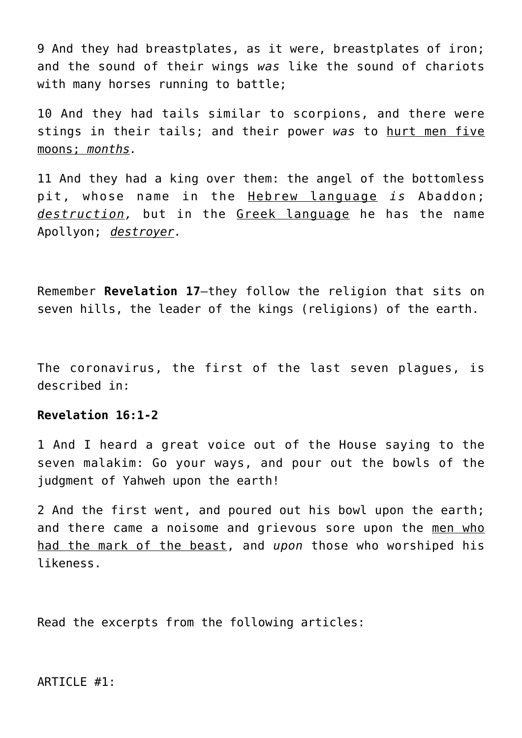9 And they had breastplates, as it were, breastplates of iron; and the sound of their wings *was* like the sound of chariots with many horses running to battle;

10 And they had tails similar to scorpions, and there were stings in their tails; and their power *was* to hurt men five moons; *months.*

11 And they had a king over them: the angel of the bottomless pit, whose name in the Hebrew language *is* Abaddon; *destruction,* but in the Greek language he has the name Apollyon; *destroyer.*

Remember **Revelation 17**—they follow the religion that sits on seven hills, the leader of the kings (religions) of the earth.

The coronavirus, the first of the last seven plagues, is described in:

# **Revelation 16:1-2**

1 And I heard a great voice out of the House saying to the seven malakim: Go your ways, and pour out the bowls of the judgment of Yahweh upon the earth!

2 And the first went, and poured out his bowl upon the earth; and there came a noisome and grievous sore upon the men who had the mark of the beast, and *upon* those who worshiped his likeness.

Read the excerpts from the following articles:

#### ARTICLE #1: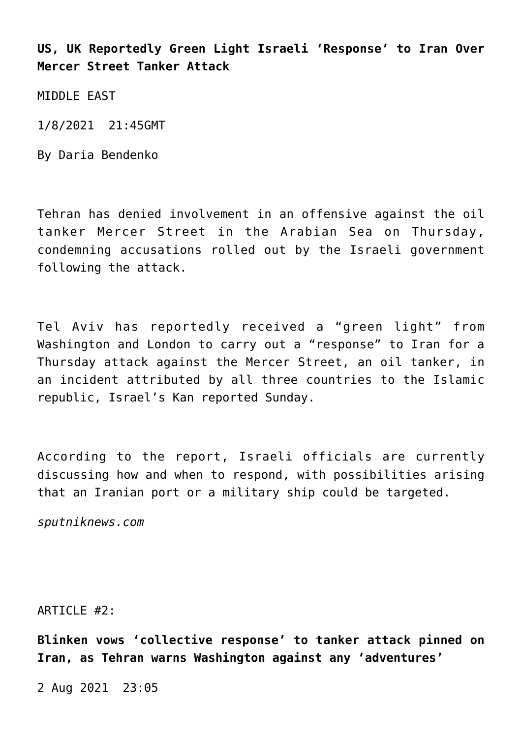**US, UK Reportedly Green Light Israeli 'Response' to Iran Over Mercer Street Tanker Attack**

MIDDLE FAST

1/8/2021 21:45GMT

By Daria Bendenko

Tehran has denied involvement in an offensive against the oil tanker Mercer Street in the Arabian Sea on Thursday, condemning accusations rolled out by the Israeli government following the attack.

Tel Aviv has reportedly received a "green light" from Washington and London to carry out a "response" to Iran for a Thursday attack against the Mercer Street, an oil tanker, in an incident attributed by all three countries to the Islamic republic, Israel's Kan reported Sunday.

According to the report, Israeli officials are currently discussing how and when to respond, with possibilities arising that an Iranian port or a military ship could be targeted.

*sputniknews.com*

ARTICLE #2:

**Blinken vows 'collective response' to tanker attack pinned on Iran, as Tehran warns Washington against any 'adventures'**

2 Aug 2021 23:05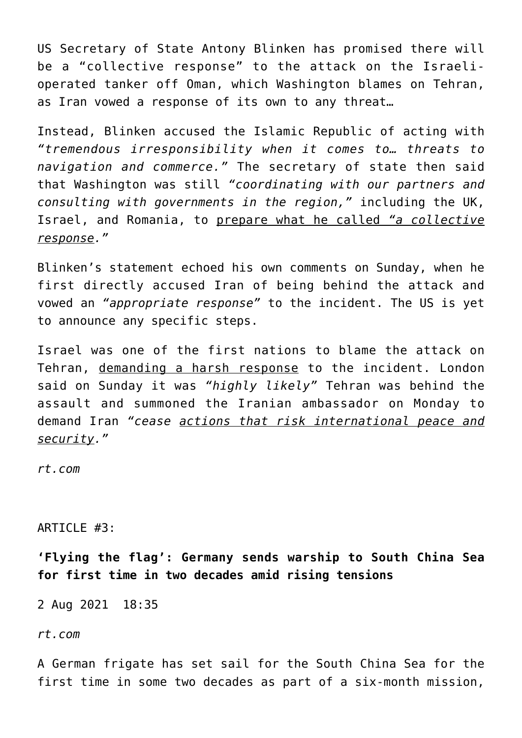US Secretary of State Antony Blinken has promised there will be a "collective response" to the attack on the Israelioperated tanker off Oman, which Washington blames on Tehran, as Iran vowed a response of its own to any threat…

Instead, Blinken accused the Islamic Republic of acting with *"tremendous irresponsibility when it comes to… threats to navigation and commerce."* The secretary of state then said that Washington was still *"coordinating with our partners and consulting with governments in the region,"* including the UK, Israel, and Romania, to prepare what he called *"a collective response."*

Blinken's statement echoed his own comments on Sunday, when he first directly accused Iran of being behind the attack and vowed an *"appropriate response"* to the incident. The US is yet to announce any specific steps.

Israel was one of the first nations to blame the attack on Tehran, demanding a harsh response to the incident. London said on Sunday it was *"highly likely"* Tehran was behind the assault and summoned the Iranian ambassador on Monday to demand Iran *"cease actions that risk international peace and security."*

*rt.com*

# ARTICLE #3:

**'Flying the flag': Germany sends warship to South China Sea for first time in two decades amid rising tensions**

2 Aug 2021 18:35

*rt.com*

A German frigate has set sail for the South China Sea for the first time in some two decades as part of a six-month mission,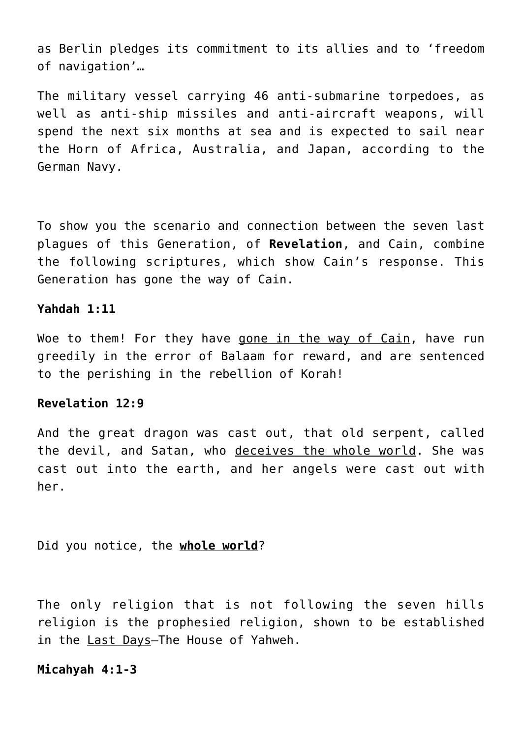as Berlin pledges its commitment to its allies and to 'freedom of navigation'…

The military vessel carrying 46 anti-submarine torpedoes, as well as anti-ship missiles and anti-aircraft weapons, will spend the next six months at sea and is expected to sail near the Horn of Africa, Australia, and Japan, according to the German Navy.

To show you the scenario and connection between the seven last plagues of this Generation, of **Revelation**, and Cain, combine the following scriptures, which show Cain's response. This Generation has gone the way of Cain.

# **Yahdah 1:11**

Woe to them! For they have gone in the way of Cain, have run greedily in the error of Balaam for reward, and are sentenced to the perishing in the rebellion of Korah!

# **Revelation 12:9**

And the great dragon was cast out, that old serpent, called the devil, and Satan, who deceives the whole world. She was cast out into the earth, and her angels were cast out with her.

Did you notice, the **whole world**?

The only religion that is not following the seven hills religion is the prophesied religion, shown to be established in the Last Days-The House of Yahweh.

# **Micahyah 4:1-3**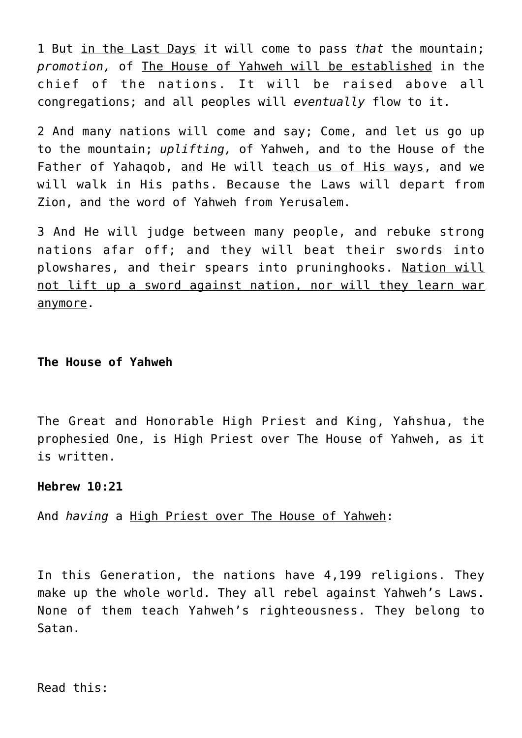1 But in the Last Days it will come to pass *that* the mountain; *promotion,* of The House of Yahweh will be established in the chief of the nations. It will be raised above all congregations; and all peoples will *eventually* flow to it.

2 And many nations will come and say; Come, and let us go up to the mountain; *uplifting,* of Yahweh, and to the House of the Father of Yahaqob, and He will teach us of His ways, and we will walk in His paths. Because the Laws will depart from Zion, and the word of Yahweh from Yerusalem.

3 And He will judge between many people, and rebuke strong nations afar off; and they will beat their swords into plowshares, and their spears into pruninghooks. Nation will not lift up a sword against nation, nor will they learn war anymore.

## **The House of Yahweh**

The Great and Honorable High Priest and King, Yahshua, the prophesied One, is High Priest over The House of Yahweh, as it is written.

# **Hebrew 10:21**

And *having* a High Priest over The House of Yahweh:

In this Generation, the nations have 4,199 religions. They make up the whole world. They all rebel against Yahweh's Laws. None of them teach Yahweh's righteousness. They belong to Satan.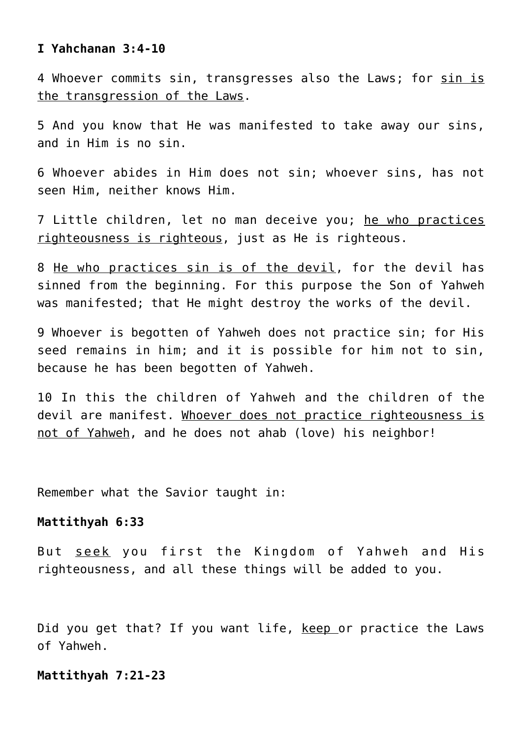#### **I Yahchanan 3:4-10**

4 Whoever commits sin, transgresses also the Laws; for sin is the transgression of the Laws.

5 And you know that He was manifested to take away our sins, and in Him is no sin.

6 Whoever abides in Him does not sin; whoever sins, has not seen Him, neither knows Him.

7 Little children, let no man deceive you; he who practices righteousness is righteous, just as He is righteous.

8 He who practices sin is of the devil, for the devil has sinned from the beginning. For this purpose the Son of Yahweh was manifested; that He might destroy the works of the devil.

9 Whoever is begotten of Yahweh does not practice sin; for His seed remains in him; and it is possible for him not to sin, because he has been begotten of Yahweh.

10 In this the children of Yahweh and the children of the devil are manifest. Whoever does not practice righteousness is not of Yahweh, and he does not ahab (love) his neighbor!

Remember what the Savior taught in:

#### **Mattithyah 6:33**

But seek you first the Kingdom of Yahweh and His righteousness, and all these things will be added to you.

Did you get that? If you want life, keep or practice the Laws of Yahweh.

## **Mattithyah 7:21-23**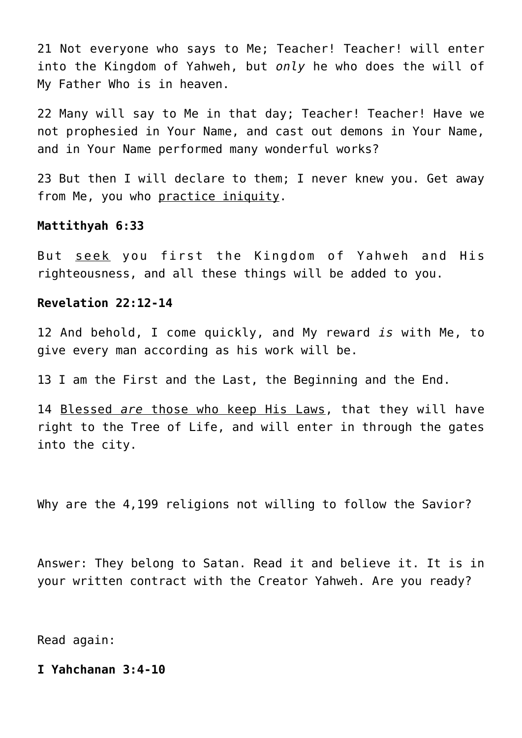21 Not everyone who says to Me; Teacher! Teacher! will enter into the Kingdom of Yahweh, but *only* he who does the will of My Father Who is in heaven.

22 Many will say to Me in that day; Teacher! Teacher! Have we not prophesied in Your Name, and cast out demons in Your Name, and in Your Name performed many wonderful works?

23 But then I will declare to them; I never knew you. Get away from Me, you who practice iniquity.

#### **Mattithyah 6:33**

But seek you first the Kingdom of Yahweh and His righteousness, and all these things will be added to you.

## **Revelation 22:12-14**

12 And behold, I come quickly, and My reward *is* with Me, to give every man according as his work will be.

13 I am the First and the Last, the Beginning and the End.

14 Blessed *are* those who keep His Laws, that they will have right to the Tree of Life, and will enter in through the gates into the city.

Why are the 4,199 religions not willing to follow the Savior?

Answer: They belong to Satan. Read it and believe it. It is in your written contract with the Creator Yahweh. Are you ready?

Read again:

## **I Yahchanan 3:4-10**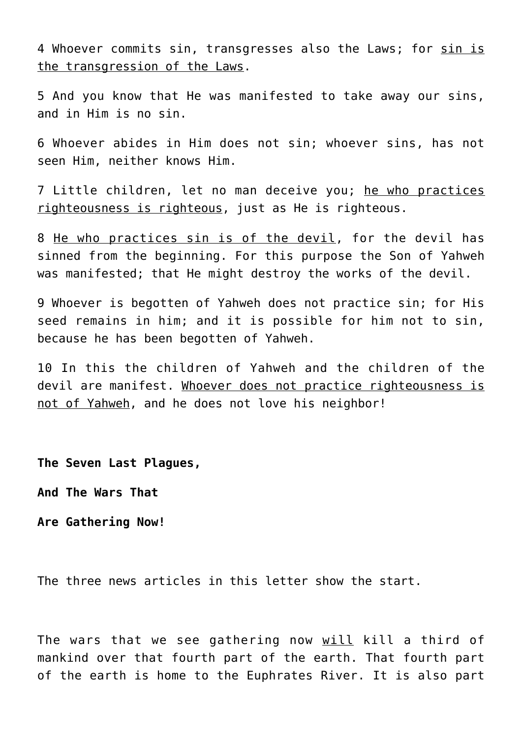4 Whoever commits sin, transgresses also the Laws; for sin is the transgression of the Laws.

5 And you know that He was manifested to take away our sins, and in Him is no sin.

6 Whoever abides in Him does not sin; whoever sins, has not seen Him, neither knows Him.

7 Little children, let no man deceive you; he who practices righteousness is righteous, just as He is righteous.

8 He who practices sin is of the devil, for the devil has sinned from the beginning. For this purpose the Son of Yahweh was manifested; that He might destroy the works of the devil.

9 Whoever is begotten of Yahweh does not practice sin; for His seed remains in him; and it is possible for him not to sin, because he has been begotten of Yahweh.

10 In this the children of Yahweh and the children of the devil are manifest. Whoever does not practice righteousness is not of Yahweh, and he does not love his neighbor!

**The Seven Last Plagues,**

**And The Wars That**

**Are Gathering Now!**

The three news articles in this letter show the start.

The wars that we see gathering now will kill a third of mankind over that fourth part of the earth. That fourth part of the earth is home to the Euphrates River. It is also part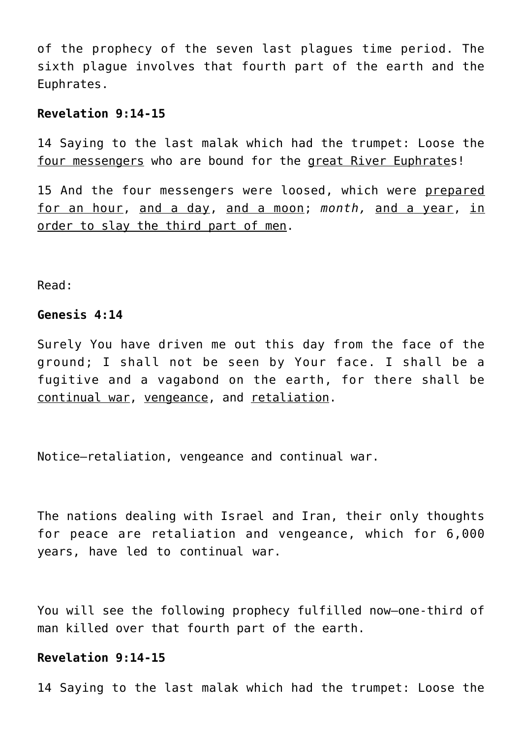of the prophecy of the seven last plagues time period. The sixth plague involves that fourth part of the earth and the Euphrates.

## **Revelation 9:14-15**

14 Saying to the last malak which had the trumpet: Loose the four messengers who are bound for the great River Euphrates!

15 And the four messengers were loosed, which were prepared for an hour, and a day, and a moon; *month,* and a year, in order to slay the third part of men.

Read:

## **Genesis 4:14**

Surely You have driven me out this day from the face of the ground; I shall not be seen by Your face. I shall be a fugitive and a vagabond on the earth, for there shall be continual war, vengeance, and retaliation.

Notice—retaliation, vengeance and continual war.

The nations dealing with Israel and Iran, their only thoughts for peace are retaliation and vengeance, which for 6,000 years, have led to continual war.

You will see the following prophecy fulfilled now—one-third of man killed over that fourth part of the earth.

# **Revelation 9:14-15**

14 Saying to the last malak which had the trumpet: Loose the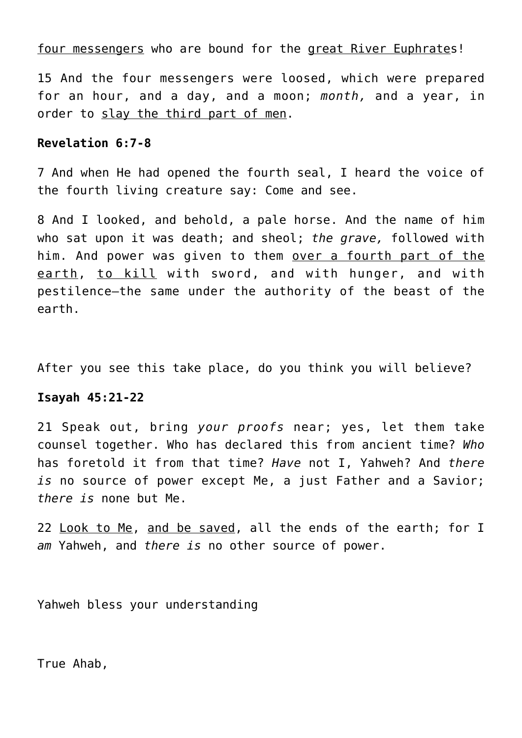four messengers who are bound for the great River Euphrates!

15 And the four messengers were loosed, which were prepared for an hour, and a day, and a moon; *month,* and a year, in order to slay the third part of men.

# **Revelation 6:7-8**

7 And when He had opened the fourth seal, I heard the voice of the fourth living creature say: Come and see.

8 And I looked, and behold, a pale horse. And the name of him who sat upon it was death; and sheol; *the grave,* followed with him. And power was given to them over a fourth part of the earth, to kill with sword, and with hunger, and with pestilence—the same under the authority of the beast of the earth.

After you see this take place, do you think you will believe?

# **Isayah 45:21-22**

21 Speak out, bring *your proofs* near; yes, let them take counsel together. Who has declared this from ancient time? *Who* has foretold it from that time? *Have* not I, Yahweh? And *there is* no source of power except Me, a just Father and a Savior; *there is* none but Me.

22 Look to Me, and be saved, all the ends of the earth; for I *am* Yahweh, and *there is* no other source of power.

Yahweh bless your understanding

True Ahab,